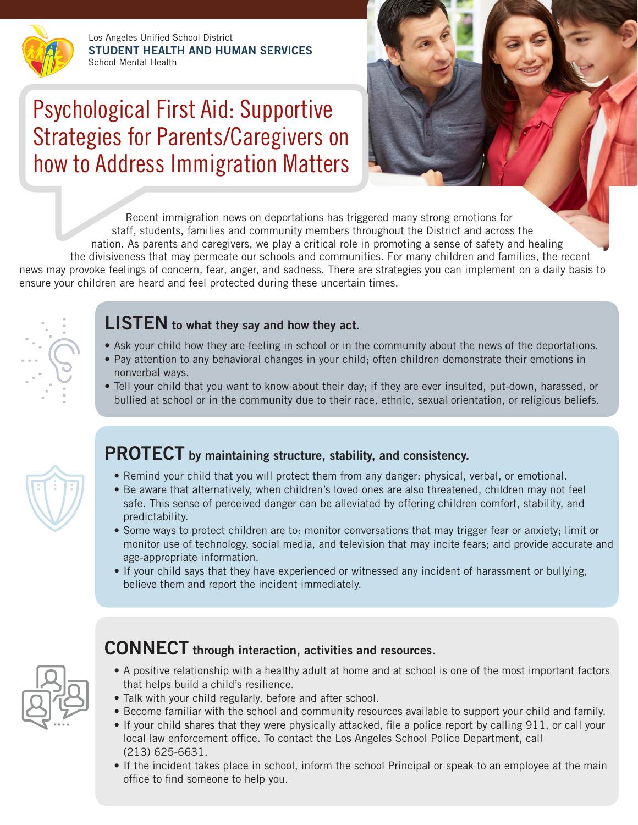Los Angeles Unified School District **STUDENT HEALTH AND HUMAN SERVICES** School Mental Health

# Psychological First Aid: Supportive Strategies for Parents/Caregivers on how to Address Immigration Matters



Recent immigration news on deportations has triggered many strong emotions for staff, students, families and community members throughout the District and across the nation. As parents and caregivers, we play a critical role in promoting a sense of safety and healing the divisiveness that may permeate our schools and communities. For many children and families, the recent news may provoke feelings of concern, fear, anger, and sadness. There are strategies you can implement on a daily basis to ensure your children are heard and feel protected during these uncertain times.



## **LISTEN to what they say and how they act.**

- Ask your child how they are feeling in school or in the community about the news of the deportations.
- Pay attention to any behavioral changes in your child; often children demonstrate their emotions in nonverbal ways.
- Tell your child that you want to know about their day; if they are ever insulted, put-down, harassed, or bullied at school or in the community due to their race, ethnic, sexual orientation, or religious beliefs.



# **PROTECT by maintaining structure, stability, and consistency.**

- Remind your child that you will protect them from any danger: physical, verbal, or emotional.
- Be aware that alternatively, when children's loved ones are also threatened, children may not feel safe. This sense of perceived danger can be alleviated by offering children comfort, stability, and predictability.
- Some ways to protect children are to: monitor conversations that may trigger fear or anxiety; limit or monitor use of technology, social media, and television that may incite fears; and provide accurate and age-appropriate information.
- If your child says that they have experienced or witnessed any incident of harassment or bullying, believe them and report the incident immediately.



## **CONNECT through interaction, activities and resources.**

- A positive relationship with a healthy adult at home and at school is one of the most important factors that helps build a child's resilience.
- Talk with your child regularly, before and after school.
- Become familiar with the school and community resources available to support your child and family.
- If your child shares that they were physically attacked, file a police report by calling 911, or call your local law enforcement office. To contact the Los Angeles School Police Department, call (213) 625-6631.
- If the incident takes place in school, inform the school Principal or speak to an employee at the main office to find someone to help you.